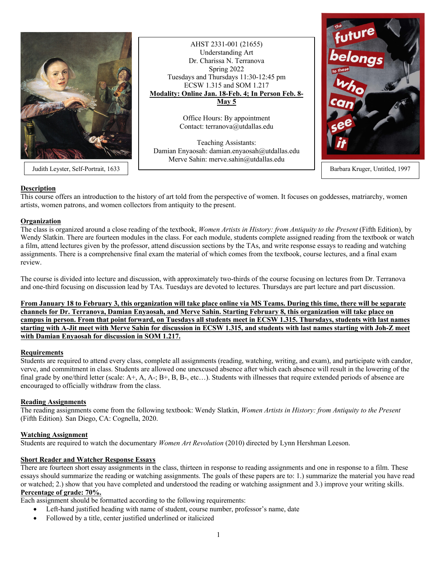

Judith Leyster, Self-Portrait, 1633 Barbara Kruger, Untitled, 1997

AHST 2331-001 (21655) Understanding Art Dr. Charissa N. Terranova Spring 2022 Tuesdays and Thursdays 11:30-12:45 pm ECSW 1.315 and SOM 1.217 **Modality: Online Jan. 18-Feb. 4; In Person Feb. 8- May 5**

> Office Hours: By appointment Contact: terranova@utdallas.edu

Teaching Assistants: Damian Enyaosah: damian.enyaosah@utdallas.edu Merve Sahin: merve.sahin@utdallas.edu



# **Description**

This course offers an introduction to the history of art told from the perspective of women. It focuses on goddesses, matriarchy, women artists, women patrons, and women collectors from antiquity to the present.

### **Organization**

The class is organized around a close reading of the textbook, *Women Artists in History: from Antiquity to the Present* (Fifth Edition), by Wendy Slatkin. There are fourteen modules in the class. For each module, students complete assigned reading from the textbook or watch a film, attend lectures given by the professor, attend discussion sections by the TAs, and write response essays to reading and watching assignments. There is a comprehensive final exam the material of which comes from the textbook, course lectures, and a final exam review.

The course is divided into lecture and discussion, with approximately two-thirds of the course focusing on lectures from Dr. Terranova and one-third focusing on discussion lead by TAs. Tuesdays are devoted to lectures. Thursdays are part lecture and part discussion.

**From January 18 to February 3, this organization will take place online via MS Teams. During this time, there will be separate channels for Dr. Terranova, Damian Enyaosah, and Merve Sahin. Starting February 8, this organization will take place on campus in person. From that point forward, on Tuesdays all students meet in ECSW 1.315. Thursdays, students with last names starting with A-Jit meet with Merve Sahin for discussion in ECSW 1.315, and students with last names starting with Joh-Z meet with Damian Enyaosah for discussion in SOM 1.217.**

### **Requirements**

Students are required to attend every class, complete all assignments (reading, watching, writing, and exam), and participate with candor, verve, and commitment in class. Students are allowed one unexcused absence after which each absence will result in the lowering of the final grade by one/third letter (scale: A+, A, A-; B+, B, B-, etc...). Students with illnesses that require extended periods of absence are encouraged to officially withdraw from the class.

### **Reading Assignments**

The reading assignments come from the following textbook: Wendy Slatkin, *Women Artists in History: from Antiquity to the Present*  (Fifth Edition)*.* San Diego, CA: Cognella, 2020.

### **Watching Assignment**

Students are required to watch the documentary *Women Art Revolution* (2010) directed by Lynn Hershman Leeson.

## **Short Reader and Watcher Response Essays**

There are fourteen short essay assignments in the class, thirteen in response to reading assignments and one in response to a film. These essays should summarize the reading or watching assignments. The goals of these papers are to: 1.) summarize the material you have read or watched; 2.) show that you have completed and understood the reading or watching assignment and 3.) improve your writing skills. **Percentage of grade: 70%.**

Each assignment should be formatted according to the following requirements:

- Left-hand justified heading with name of student, course number, professor's name, date
- Followed by a title, center justified underlined or italicized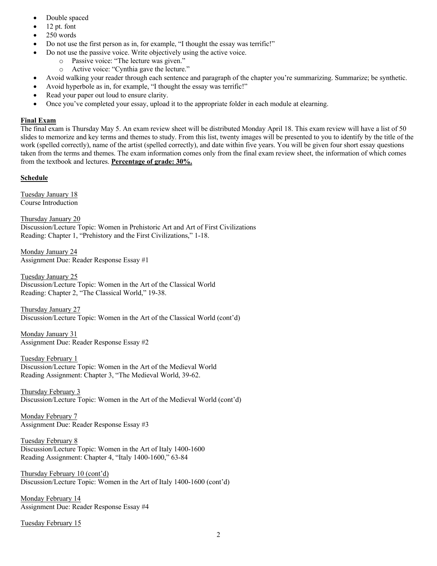- Double spaced
- 12 pt. font
- 250 words
- Do not use the first person as in, for example, "I thought the essay was terrific!"
- Do not use the passive voice. Write objectively using the active voice.
	- o Passive voice: "The lecture was given."
	- o Active voice: "Cynthia gave the lecture."
- Avoid walking your reader through each sentence and paragraph of the chapter you're summarizing. Summarize; be synthetic.
- Avoid hyperbole as in, for example, "I thought the essay was terrific!"
- Read your paper out loud to ensure clarity.
- Once you've completed your essay, upload it to the appropriate folder in each module at elearning.

### **Final Exam**

The final exam is Thursday May 5. An exam review sheet will be distributed Monday April 18. This exam review will have a list of 50 slides to memorize and key terms and themes to study. From this list, twenty images will be presented to you to identify by the title of the work (spelled correctly), name of the artist (spelled correctly), and date within five years. You will be given four short essay questions taken from the terms and themes. The exam information comes only from the final exam review sheet, the information of which comes from the textbook and lectures. **Percentage of grade: 30%.**

### **Schedule**

Tuesday January 18 Course Introduction

Thursday January 20 Discussion/Lecture Topic: Women in Prehistoric Art and Art of First Civilizations Reading: Chapter 1, "Prehistory and the First Civilizations," 1-18.

Monday January 24 Assignment Due: Reader Response Essay #1

Tuesday January 25 Discussion/Lecture Topic: Women in the Art of the Classical World Reading: Chapter 2, "The Classical World," 19-38.

Thursday January 27 Discussion/Lecture Topic: Women in the Art of the Classical World (cont'd)

Monday January 31 Assignment Due: Reader Response Essay #2

Tuesday February 1 Discussion/Lecture Topic: Women in the Art of the Medieval World Reading Assignment: Chapter 3, "The Medieval World, 39-62.

Thursday February 3 Discussion/Lecture Topic: Women in the Art of the Medieval World (cont'd)

Monday February 7 Assignment Due: Reader Response Essay #3

Tuesday February 8 Discussion/Lecture Topic: Women in the Art of Italy 1400-1600 Reading Assignment: Chapter 4, "Italy 1400-1600," 63-84

Thursday February 10 (cont'd) Discussion/Lecture Topic: Women in the Art of Italy 1400-1600 (cont'd)

Monday February 14 Assignment Due: Reader Response Essay #4

Tuesday February 15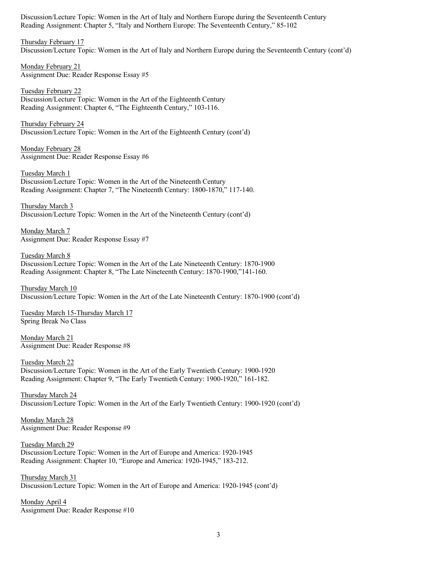Discussion/Lecture Topic: Women in the Art of Italy and Northern Europe during the Seventeenth Century Reading Assignment: Chapter 5, "Italy and Northern Europe: The Seventeenth Century," 85-102

Thursday February 17 Discussion/Lecture Topic: Women in the Art of Italy and Northern Europe during the Seventeenth Century (cont'd)

Monday February 21 Assignment Due: Reader Response Essay #5

Tuesday February 22 Discussion/Lecture Topic: Women in the Art of the Eighteenth Century Reading Assignment: Chapter 6, "The Eighteenth Century," 103-116.

Thursday February 24 Discussion/Lecture Topic: Women in the Art of the Eighteenth Century (cont'd)

Monday February 28 Assignment Due: Reader Response Essay #6

Tuesday March 1 Discussion/Lecture Topic: Women in the Art of the Nineteenth Century Reading Assignment: Chapter 7, "The Nineteenth Century: 1800-1870," 117-140.

Thursday March 3 Discussion/Lecture Topic: Women in the Art of the Nineteenth Century (cont'd)

Monday March 7 Assignment Due: Reader Response Essay #7

Tuesday March 8 Discussion/Lecture Topic: Women in the Art of the Late Nineteenth Century: 1870-1900 Reading Assignment: Chapter 8, "The Late Nineteenth Century: 1870-1900,"141-160.

Thursday March 10 Discussion/Lecture Topic: Women in the Art of the Late Nineteenth Century: 1870-1900 (cont'd)

Tuesday March 15-Thursday March 17 Spring Break No Class

Monday March 21 Assignment Due: Reader Response #8

Tuesday March 22 Discussion/Lecture Topic: Women in the Art of the Early Twentieth Century: 1900-1920 Reading Assignment: Chapter 9, "The Early Twentieth Century: 1900-1920," 161-182.

Thursday March 24 Discussion/Lecture Topic: Women in the Art of the Early Twentieth Century: 1900-1920 (cont'd)

Monday March 28 Assignment Due: Reader Response #9

Tuesday March 29 Discussion/Lecture Topic: Women in the Art of Europe and America: 1920-1945 Reading Assignment: Chapter 10, "Europe and America: 1920-1945," 183-212.

Thursday March 31 Discussion/Lecture Topic: Women in the Art of Europe and America: 1920-1945 (cont'd)

Monday April 4 Assignment Due: Reader Response #10